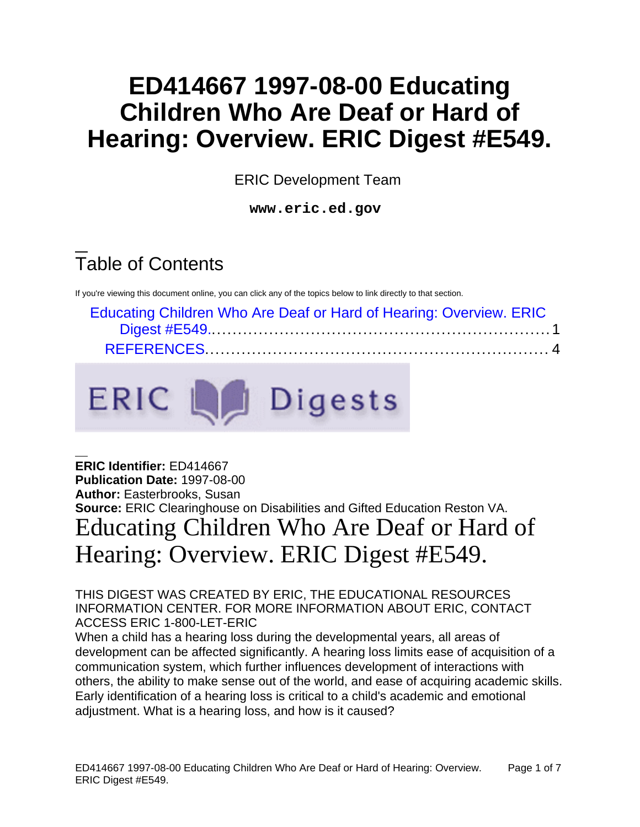# **ED414667 1997-08-00 Educating Children Who Are Deaf or Hard of Hearing: Overview. ERIC Digest #E549.**

ERIC Development Team

**www.eric.ed.gov**

# Table of Contents

If you're viewing this document online, you can click any of the topics below to link directly to that section.

| Educating Children Who Are Deaf or Hard of Hearing: Overview. ERIC |
|--------------------------------------------------------------------|
|                                                                    |
|                                                                    |



<span id="page-0-0"></span>**ERIC Identifier:** ED414667 **Publication Date:** 1997-08-00 **Author:** Easterbrooks, Susan **Source:** ERIC Clearinghouse on Disabilities and Gifted Education Reston VA. Educating Children Who Are Deaf or Hard of Hearing: Overview. ERIC Digest #E549.

THIS DIGEST WAS CREATED BY ERIC, THE EDUCATIONAL RESOURCES INFORMATION CENTER. FOR MORE INFORMATION ABOUT ERIC, CONTACT ACCESS ERIC 1-800-LET-ERIC

When a child has a hearing loss during the developmental years, all areas of development can be affected significantly. A hearing loss limits ease of acquisition of a communication system, which further influences development of interactions with others, the ability to make sense out of the world, and ease of acquiring academic skills. Early identification of a hearing loss is critical to a child's academic and emotional adjustment. What is a hearing loss, and how is it caused?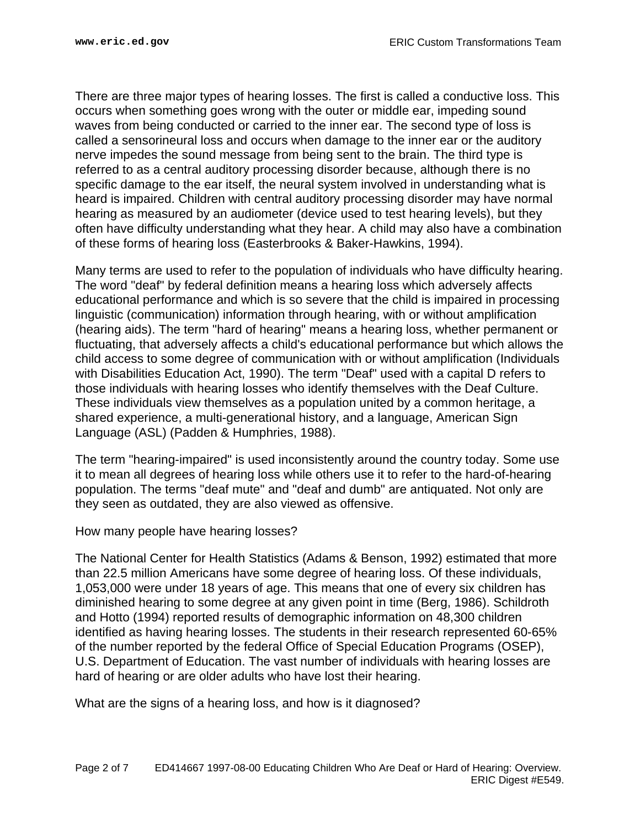There are three major types of hearing losses. The first is called a conductive loss. This occurs when something goes wrong with the outer or middle ear, impeding sound waves from being conducted or carried to the inner ear. The second type of loss is called a sensorineural loss and occurs when damage to the inner ear or the auditory nerve impedes the sound message from being sent to the brain. The third type is referred to as a central auditory processing disorder because, although there is no specific damage to the ear itself, the neural system involved in understanding what is heard is impaired. Children with central auditory processing disorder may have normal hearing as measured by an audiometer (device used to test hearing levels), but they often have difficulty understanding what they hear. A child may also have a combination of these forms of hearing loss (Easterbrooks & Baker-Hawkins, 1994).

Many terms are used to refer to the population of individuals who have difficulty hearing. The word "deaf" by federal definition means a hearing loss which adversely affects educational performance and which is so severe that the child is impaired in processing linguistic (communication) information through hearing, with or without amplification (hearing aids). The term "hard of hearing" means a hearing loss, whether permanent or fluctuating, that adversely affects a child's educational performance but which allows the child access to some degree of communication with or without amplification (Individuals with Disabilities Education Act, 1990). The term "Deaf" used with a capital D refers to those individuals with hearing losses who identify themselves with the Deaf Culture. These individuals view themselves as a population united by a common heritage, a shared experience, a multi-generational history, and a language, American Sign Language (ASL) (Padden & Humphries, 1988).

The term "hearing-impaired" is used inconsistently around the country today. Some use it to mean all degrees of hearing loss while others use it to refer to the hard-of-hearing population. The terms "deaf mute" and "deaf and dumb" are antiquated. Not only are they seen as outdated, they are also viewed as offensive.

How many people have hearing losses?

The National Center for Health Statistics (Adams & Benson, 1992) estimated that more than 22.5 million Americans have some degree of hearing loss. Of these individuals, 1,053,000 were under 18 years of age. This means that one of every six children has diminished hearing to some degree at any given point in time (Berg, 1986). Schildroth and Hotto (1994) reported results of demographic information on 48,300 children identified as having hearing losses. The students in their research represented 60-65% of the number reported by the federal Office of Special Education Programs (OSEP), U.S. Department of Education. The vast number of individuals with hearing losses are hard of hearing or are older adults who have lost their hearing.

What are the signs of a hearing loss, and how is it diagnosed?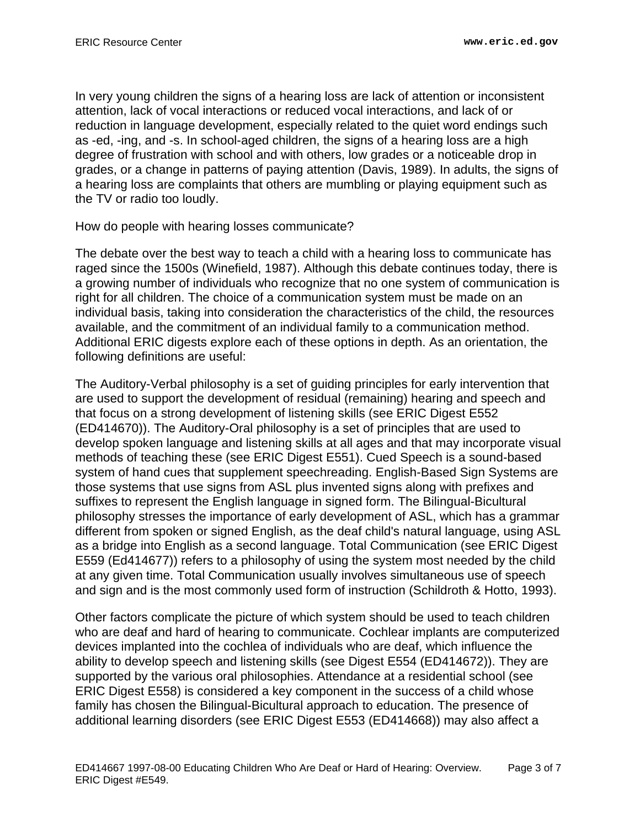In very young children the signs of a hearing loss are lack of attention or inconsistent attention, lack of vocal interactions or reduced vocal interactions, and lack of or reduction in language development, especially related to the quiet word endings such as -ed, -ing, and -s. In school-aged children, the signs of a hearing loss are a high degree of frustration with school and with others, low grades or a noticeable drop in grades, or a change in patterns of paying attention (Davis, 1989). In adults, the signs of a hearing loss are complaints that others are mumbling or playing equipment such as the TV or radio too loudly.

How do people with hearing losses communicate?

The debate over the best way to teach a child with a hearing loss to communicate has raged since the 1500s (Winefield, 1987). Although this debate continues today, there is a growing number of individuals who recognize that no one system of communication is right for all children. The choice of a communication system must be made on an individual basis, taking into consideration the characteristics of the child, the resources available, and the commitment of an individual family to a communication method. Additional ERIC digests explore each of these options in depth. As an orientation, the following definitions are useful:

The Auditory-Verbal philosophy is a set of guiding principles for early intervention that are used to support the development of residual (remaining) hearing and speech and that focus on a strong development of listening skills (see ERIC Digest E552 (ED414670)). The Auditory-Oral philosophy is a set of principles that are used to develop spoken language and listening skills at all ages and that may incorporate visual methods of teaching these (see ERIC Digest E551). Cued Speech is a sound-based system of hand cues that supplement speechreading. English-Based Sign Systems are those systems that use signs from ASL plus invented signs along with prefixes and suffixes to represent the English language in signed form. The Bilingual-Bicultural philosophy stresses the importance of early development of ASL, which has a grammar different from spoken or signed English, as the deaf child's natural language, using ASL as a bridge into English as a second language. Total Communication (see ERIC Digest E559 (Ed414677)) refers to a philosophy of using the system most needed by the child at any given time. Total Communication usually involves simultaneous use of speech and sign and is the most commonly used form of instruction (Schildroth & Hotto, 1993).

Other factors complicate the picture of which system should be used to teach children who are deaf and hard of hearing to communicate. Cochlear implants are computerized devices implanted into the cochlea of individuals who are deaf, which influence the ability to develop speech and listening skills (see Digest E554 (ED414672)). They are supported by the various oral philosophies. Attendance at a residential school (see ERIC Digest E558) is considered a key component in the success of a child whose family has chosen the Bilingual-Bicultural approach to education. The presence of additional learning disorders (see ERIC Digest E553 (ED414668)) may also affect a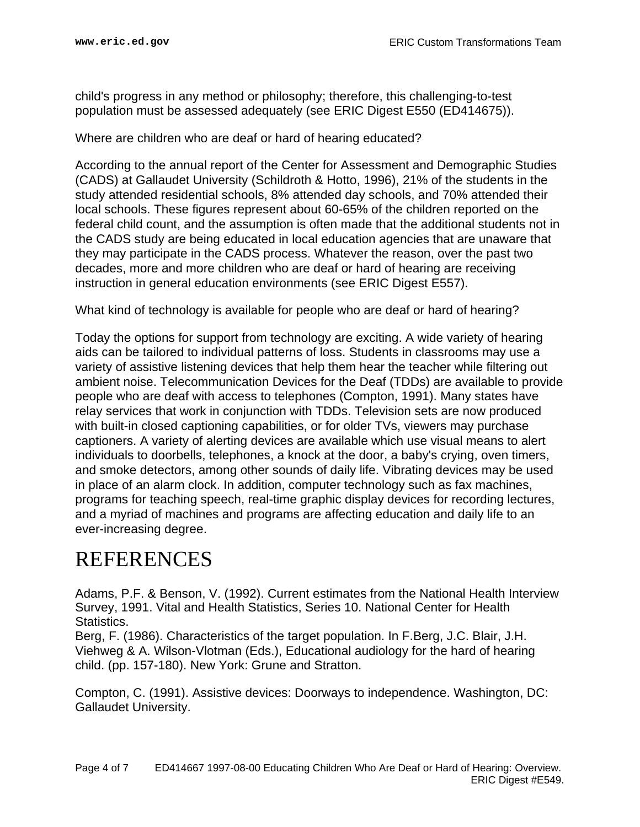child's progress in any method or philosophy; therefore, this challenging-to-test population must be assessed adequately (see ERIC Digest E550 (ED414675)).

Where are children who are deaf or hard of hearing educated?

According to the annual report of the Center for Assessment and Demographic Studies (CADS) at Gallaudet University (Schildroth & Hotto, 1996), 21% of the students in the study attended residential schools, 8% attended day schools, and 70% attended their local schools. These figures represent about 60-65% of the children reported on the federal child count, and the assumption is often made that the additional students not in the CADS study are being educated in local education agencies that are unaware that they may participate in the CADS process. Whatever the reason, over the past two decades, more and more children who are deaf or hard of hearing are receiving instruction in general education environments (see ERIC Digest E557).

What kind of technology is available for people who are deaf or hard of hearing?

Today the options for support from technology are exciting. A wide variety of hearing aids can be tailored to individual patterns of loss. Students in classrooms may use a variety of assistive listening devices that help them hear the teacher while filtering out ambient noise. Telecommunication Devices for the Deaf (TDDs) are available to provide people who are deaf with access to telephones (Compton, 1991). Many states have relay services that work in conjunction with TDDs. Television sets are now produced with built-in closed captioning capabilities, or for older TVs, viewers may purchase captioners. A variety of alerting devices are available which use visual means to alert individuals to doorbells, telephones, a knock at the door, a baby's crying, oven timers, and smoke detectors, among other sounds of daily life. Vibrating devices may be used in place of an alarm clock. In addition, computer technology such as fax machines, programs for teaching speech, real-time graphic display devices for recording lectures, and a myriad of machines and programs are affecting education and daily life to an ever-increasing degree.

## <span id="page-3-0"></span>**REFERENCES**

Adams, P.F. & Benson, V. (1992). Current estimates from the National Health Interview Survey, 1991. Vital and Health Statistics, Series 10. National Center for Health Statistics.

Berg, F. (1986). Characteristics of the target population. In F.Berg, J.C. Blair, J.H. Viehweg & A. Wilson-Vlotman (Eds.), Educational audiology for the hard of hearing child. (pp. 157-180). New York: Grune and Stratton.

Compton, C. (1991). Assistive devices: Doorways to independence. Washington, DC: Gallaudet University.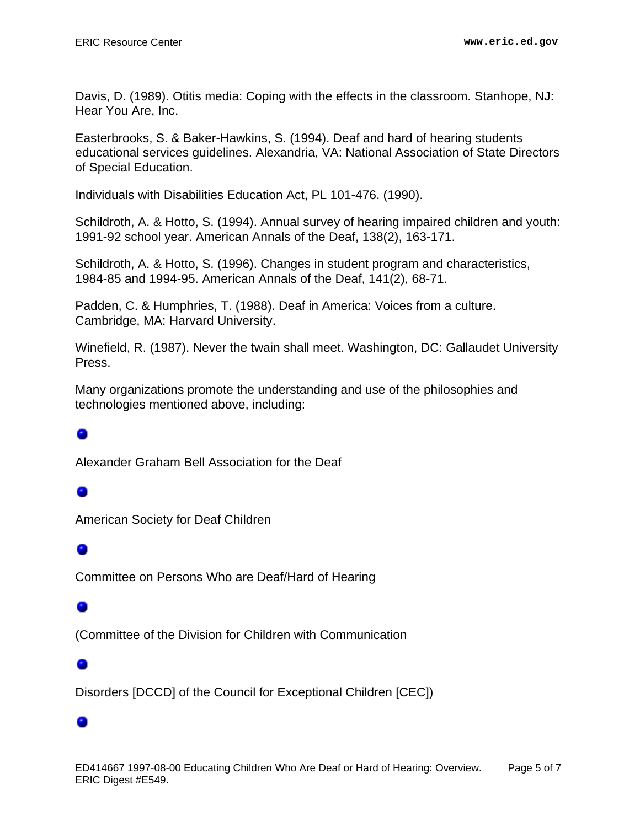Davis, D. (1989). Otitis media: Coping with the effects in the classroom. Stanhope, NJ: Hear You Are, Inc.

Easterbrooks, S. & Baker-Hawkins, S. (1994). Deaf and hard of hearing students educational services guidelines. Alexandria, VA: National Association of State Directors of Special Education.

Individuals with Disabilities Education Act, PL 101-476. (1990).

Schildroth, A. & Hotto, S. (1994). Annual survey of hearing impaired children and youth: 1991-92 school year. American Annals of the Deaf, 138(2), 163-171.

Schildroth, A. & Hotto, S. (1996). Changes in student program and characteristics, 1984-85 and 1994-95. American Annals of the Deaf, 141(2), 68-71.

Padden, C. & Humphries, T. (1988). Deaf in America: Voices from a culture. Cambridge, MA: Harvard University.

Winefield, R. (1987). Never the twain shall meet. Washington, DC: Gallaudet University Press.

Many organizations promote the understanding and use of the philosophies and technologies mentioned above, including:

Alexander Graham Bell Association for the Deaf

### 0

American Society for Deaf Children

0

Committee on Persons Who are Deaf/Hard of Hearing

#### ۰

(Committee of the Division for Children with Communication

#### 0

Disorders [DCCD] of the Council for Exceptional Children [CEC])

#### ο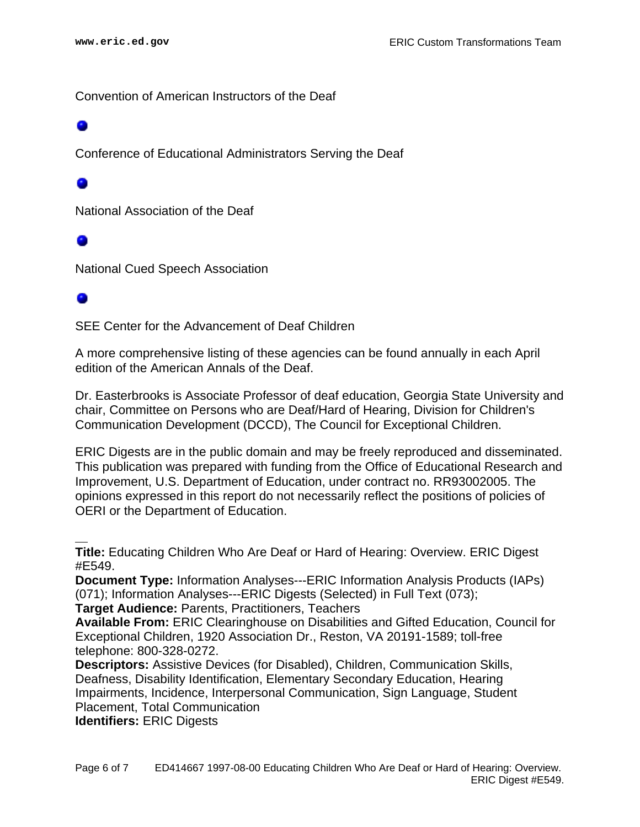Convention of American Instructors of the Deaf

Conference of Educational Administrators Serving the Deaf

۰

National Association of the Deaf

National Cued Speech Association

#### ۰

SEE Center for the Advancement of Deaf Children

A more comprehensive listing of these agencies can be found annually in each April edition of the American Annals of the Deaf.

Dr. Easterbrooks is Associate Professor of deaf education, Georgia State University and chair, Committee on Persons who are Deaf/Hard of Hearing, Division for Children's Communication Development (DCCD), The Council for Exceptional Children.

ERIC Digests are in the public domain and may be freely reproduced and disseminated. This publication was prepared with funding from the Office of Educational Research and Improvement, U.S. Department of Education, under contract no. RR93002005. The opinions expressed in this report do not necessarily reflect the positions of policies of OERI or the Department of Education.

**Title:** Educating Children Who Are Deaf or Hard of Hearing: Overview. ERIC Digest #E549.

**Document Type:** Information Analyses---ERIC Information Analysis Products (IAPs) (071); Information Analyses---ERIC Digests (Selected) in Full Text (073);

**Target Audience:** Parents, Practitioners, Teachers

**Available From:** ERIC Clearinghouse on Disabilities and Gifted Education, Council for Exceptional Children, 1920 Association Dr., Reston, VA 20191-1589; toll-free telephone: 800-328-0272.

**Descriptors:** Assistive Devices (for Disabled), Children, Communication Skills, Deafness, Disability Identification, Elementary Secondary Education, Hearing Impairments, Incidence, Interpersonal Communication, Sign Language, Student Placement, Total Communication

**Identifiers:** ERIC Digests